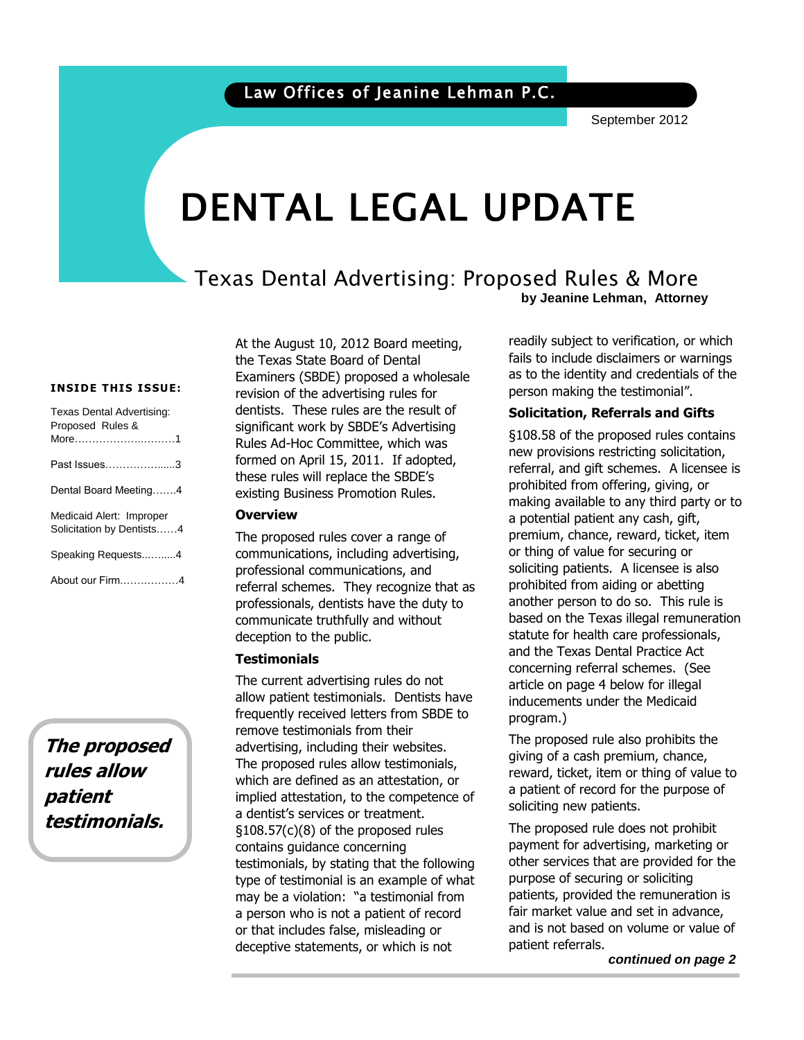September 2012

# DENTAL LEGAL UPDATE

#### Texas Dental Advertising: Proposed Rules & More **by Jeanine Lehman, Attorney**

#### **INSIDE THIS ISSUE:**

| Texas Dental Advertising:<br>Proposed Rules &<br>More1 |
|--------------------------------------------------------|
| Past Issues3                                           |
| Dental Board Meeting4                                  |
| Medicaid Alert: Improper<br>Solicitation by Dentists4  |
| Speaking Requests4                                     |
| About our Firm4                                        |

**The proposed rules allow patient testimonials.**

At the August 10, 2012 Board meeting, the Texas State Board of Dental Examiners (SBDE) proposed a wholesale revision of the advertising rules for dentists. These rules are the result of significant work by SBDE's Advertising Rules Ad-Hoc Committee, which was formed on April 15, 2011. If adopted, these rules will replace the SBDE's existing Business Promotion Rules.

#### **Overview**

The proposed rules cover a range of communications, including advertising, professional communications, and referral schemes. They recognize that as professionals, dentists have the duty to communicate truthfully and without deception to the public.

#### **Testimonials**

The current advertising rules do not allow patient testimonials. Dentists have frequently received letters from SBDE to remove testimonials from their advertising, including their websites. The proposed rules allow testimonials, which are defined as an attestation, or implied attestation, to the competence of a dentist's services or treatment. §108.57(c)(8) of the proposed rules contains guidance concerning testimonials, by stating that the following type of testimonial is an example of what may be a violation: "a testimonial from a person who is not a patient of record or that includes false, misleading or deceptive statements, or which is not

fails to include disclaimers or warnings<br>as to the identity and credentials of the readily subject to verification, or which fails to include disclaimers or warnings person making the testimonial".

# person making the testimonial.<br>**Solicitation, Referrals and Gifts**

 $$108.58$  of the proposed rules contains new provisions restricting solicitation, referral, and gift schemes. A licensee is prohibited from offering, giving, or making available to any third party or to a potential patient any cash, gift, premium, chance, reward, ticket, item or thing of value for securing or soliciting patients. A licensee is also prohibited from aiding or abetting another person to do so. This rule is based on the Texas illegal remuneration statute for health care professionals, and the Texas Dental Practice Act concerning referral schemes. (See article on page 4 below for illegal inducements under the Medicaid program.)

> The proposed rule also prohibits the giving of a cash premium, chance, reward, ticket, item or thing of value to a patient of record for the purpose of soliciting new patients.

> The proposed rule does not prohibit payment for advertising, marketing or other services that are provided for the purpose of securing or soliciting patients, provided the remuneration is fair market value and set in advance, and is not based on volume or value of patient referrals.

> > *continued on page 2*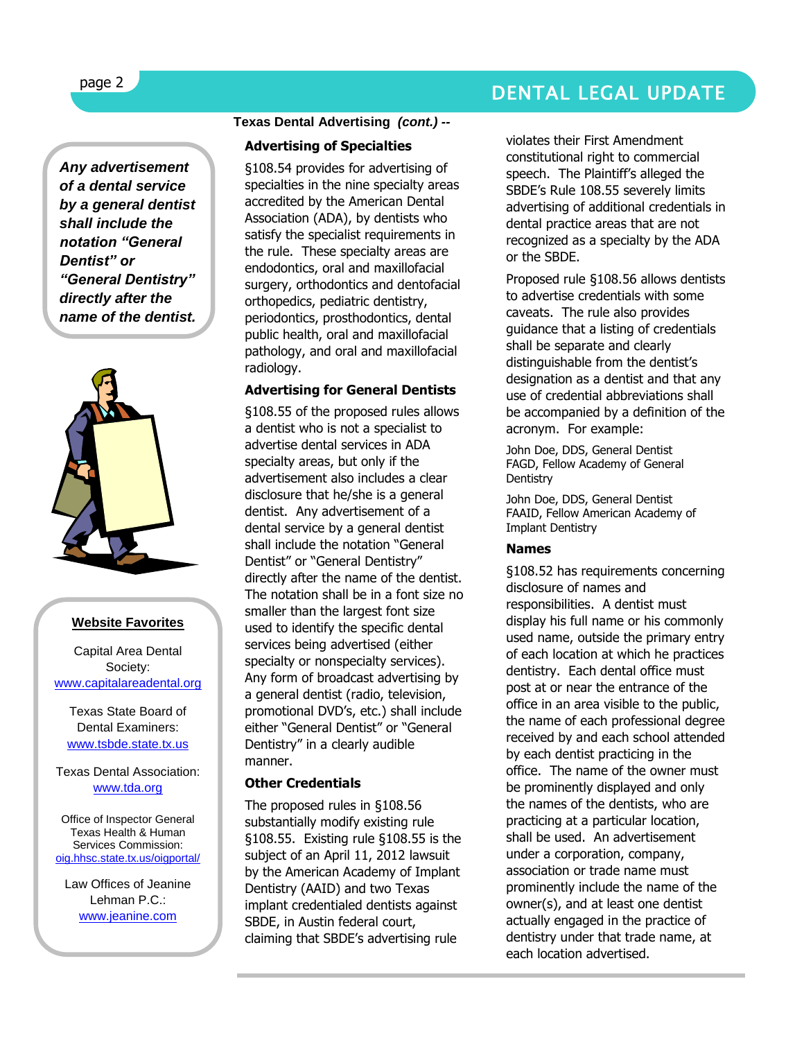### DENTAL LEGAL UPDATE

*Any advertisement of a dental service by a general dentist shall include the notation "General Dentist" or "General Dentistry" directly after the name of the dentist.* 



#### **Website Favorites**

Capital Area Dental Society: [www.capitalareadental.org](http://www.capitalareadental.org/)

Texas State Board of Dental Examiners: [www.tsbde.state.tx.us](http://www.tsbde.state.tx.us/)

Texas Dental Association: [www.tda.org](http://www.tda.org/)

Office of Inspector General Texas Health & Human Services Commissio[n:](http://oig.hhsc.state.tx.us/oigportal/) [oig.hhsc.state.tx.us/oigportal/](http://oig.hhsc.state.tx.us/oigportal/)

Law Offices of Jeanine Lehman P.C.: [www.jeanine.com](http://www.jeanine.com/)

#### **Texas Dental Advertising** *(cont.) --*

#### **Advertising of Specialties**

§108.54 provides for advertising of specialties in the nine specialty areas accredited by the American Dental Association (ADA), by dentists who satisfy the specialist requirements in the rule. These specialty areas are endodontics, oral and maxillofacial surgery, orthodontics and dentofacial orthopedics, pediatric dentistry, periodontics, prosthodontics, dental public health, oral and maxillofacial pathology, and oral and maxillofacial radiology.

#### **Advertising for General Dentists**

§108.55 of the proposed rules allows a dentist who is not a specialist to advertise dental services in ADA specialty areas, but only if the advertisement also includes a clear disclosure that he/she is a general dentist. Any advertisement of a dental service by a general dentist shall include the notation "General Dentist" or "General Dentistry" directly after the name of the dentist. The notation shall be in a font size no smaller than the largest font size used to identify the specific dental services being advertised (either specialty or nonspecialty services). Any form of broadcast advertising by a general dentist (radio, television, promotional DVD's, etc.) shall include either "General Dentist" or "General Dentistry" in a clearly audible manner.

#### **Other Credentials**

The proposed rules in §108.56 substantially modify existing rule §108.55. Existing rule §108.55 is the subject of an April 11, 2012 lawsuit by the American Academy of Implant Dentistry (AAID) and two Texas implant credentialed dentists against SBDE, in Austin federal court, claiming that SBDE's advertising rule

violates their First Amendment constitutional right to commercial speech. The Plaintiff's alleged the SBDE's Rule 108.55 severely limits advertising of additional credentials in dental practice areas that are not recognized as a specialty by the ADA or the SBDE.

Proposed rule §108.56 allows dentists to advertise credentials with some caveats. The rule also provides guidance that a listing of credentials shall be separate and clearly distinguishable from the dentist's designation as a dentist and that any use of credential abbreviations shall be accompanied by a definition of the acronym. For example:

John Doe, DDS, General Dentist FAGD, Fellow Academy of General **Dentistry** 

John Doe, DDS, General Dentist FAAID, Fellow American Academy of Implant Dentistry

#### **Names**

§108.52 has requirements concerning disclosure of names and responsibilities. A dentist must display his full name or his commonly used name, outside the primary entry of each location at which he practices dentistry. Each dental office must post at or near the entrance of the office in an area visible to the public, the name of each professional degree received by and each school attended by each dentist practicing in the office. The name of the owner must be prominently displayed and only the names of the dentists, who are practicing at a particular location, shall be used. An advertisement under a corporation, company, association or trade name must prominently include the name of the owner(s), and at least one dentist actually engaged in the practice of dentistry under that trade name, at each location advertised.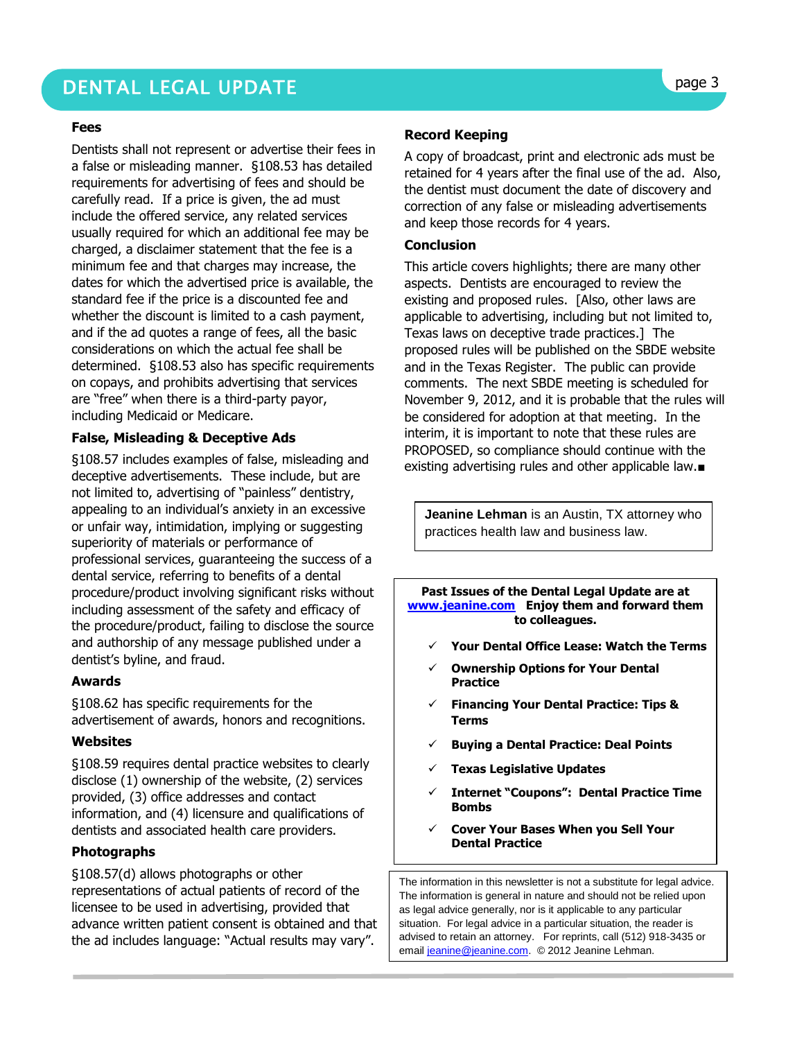## DENTAL LEGAL UPDATE **page 3**

#### **Fees**

Dentists shall not represent or advertise their fees in a false or misleading manner. §108.53 has detailed requirements for advertising of fees and should be carefully read. If a price is given, the ad must include the offered service, any related services usually required for which an additional fee may be charged, a disclaimer statement that the fee is a minimum fee and that charges may increase, the dates for which the advertised price is available, the standard fee if the price is a discounted fee and whether the discount is limited to a cash payment, and if the ad quotes a range of fees, all the basic considerations on which the actual fee shall be determined. §108.53 also has specific requirements on copays, and prohibits advertising that services are "free" when there is a third-party payor, including Medicaid or Medicare.

#### **False, Misleading & Deceptive Ads**

§108.57 includes examples of false, misleading and deceptive advertisements. These include, but are not limited to, advertising of "painless" dentistry, appealing to an individual's anxiety in an excessive or unfair way, intimidation, implying or suggesting superiority of materials or performance of professional services, guaranteeing the success of a dental service, referring to benefits of a dental procedure/product involving significant risks without including assessment of the safety and efficacy of the procedure/product, failing to disclose the source and authorship of any message published under a dentist's byline, and fraud.

#### **Awards**

§108.62 has specific requirements for the advertisement of awards, honors and recognitions.

#### **Websites**

§108.59 requires dental practice websites to clearly disclose (1) ownership of the website, (2) services provided, (3) office addresses and contact information, and (4) licensure and qualifications of dentists and associated health care providers.

#### **Photographs**

§108.57(d) allows photographs or other representations of actual patients of record of the licensee to be used in advertising, provided that advance written patient consent is obtained and that the ad includes language: "Actual results may vary".

#### **Record Keeping**

A copy of broadcast, print and electronic ads must be retained for 4 years after the final use of the ad. Also, the dentist must document the date of discovery and correction of any false or misleading advertisements and keep those records for 4 years.

#### **Conclusion**

This article covers highlights; there are many other aspects. Dentists are encouraged to review the existing and proposed rules. [Also, other laws are applicable to advertising, including but not limited to, Texas laws on deceptive trade practices.] The proposed rules will be published on the SBDE website and in the Texas Register. The public can provide comments. The next SBDE meeting is scheduled for November 9, 2012, and it is probable that the rules will be considered for adoption at that meeting. In the interim, it is important to note that these rules are PROPOSED, so compliance should continue with the existing advertising rules and other applicable law.■

**Jeanine Lehman** is an Austin, TX attorney who practices health law and business law.

**Past Issues of the Dental Legal Update are at [www.jeanine.com](http://www.jeanine.com/) Enjoy them and forward them to colleagues.**

- **Your Dental Office Lease: Watch the Terms**
- **Ownership Options for Your Dental Practice**
- **Financing Your Dental Practice: Tips & Terms**
- **Buying a Dental Practice: Deal Points**
- **Texas Legislative Updates**
- **Internet "Coupons": Dental Practice Time Bombs**
- **Cover Your Bases When you Sell Your Dental Practice**

The information in this newsletter is not a substitute for legal advice. The information is general in nature and should not be relied upon as legal advice generally, nor is it applicable to any particular situation. For legal advice in a particular situation, the reader is advised to retain an attorney. For reprints, call (512) 918-3435 or emai[l jeanine@jeanine.com.](mailto:jeanine@jeanine.com) © 2012 Jeanine Lehman.